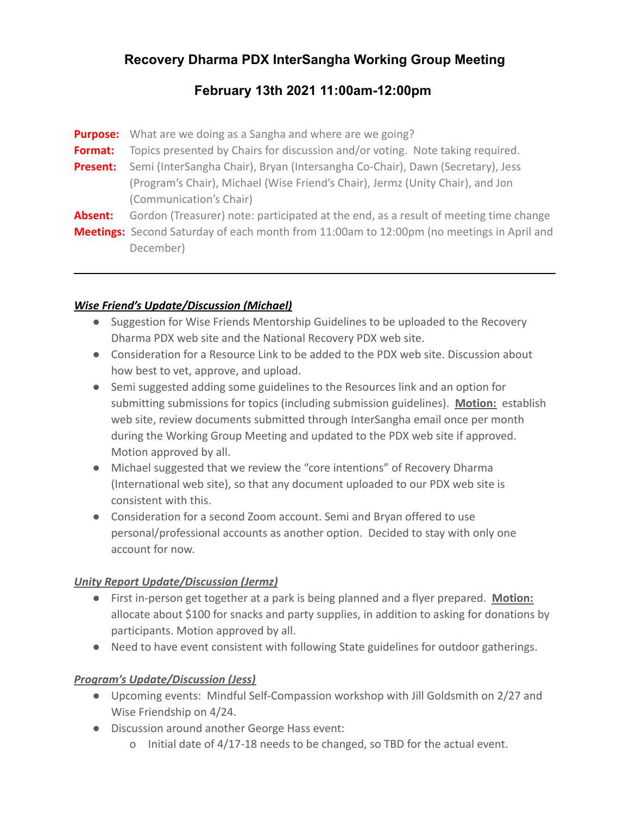# **Recovery Dharma PDX InterSangha Working Group Meeting**

# **February 13th 2021 11:00am-12:00pm**

**Purpose:** What are we doing as a Sangha and where are we going? **Format:** Topics presented by Chairs for discussion and/or voting. Note taking required. **Present:** Semi (InterSangha Chair), Bryan (Intersangha Co-Chair), Dawn (Secretary), Jess (Program's Chair), Michael (Wise Friend's Chair), Jermz (Unity Chair), and Jon (Communication's Chair) **Absent:** Gordon (Treasurer) note: participated at the end, as a result of meeting time change **Meetings:** Second Saturday of each month from 11:00am to 12:00pm (no meetings in April and December)

#### *Wise Friend's Update/Discussion (Michael)*

- Suggestion for Wise Friends Mentorship Guidelines to be uploaded to the Recovery Dharma PDX web site and the National Recovery PDX web site.
- Consideration for a Resource Link to be added to the PDX web site. Discussion about how best to vet, approve, and upload.
- Semi suggested adding some guidelines to the Resources link and an option for submitting submissions for topics (including submission guidelines). **Motion:** establish web site, review documents submitted through InterSangha email once per month during the Working Group Meeting and updated to the PDX web site if approved. Motion approved by all.
- Michael suggested that we review the "core intentions" of Recovery Dharma (International web site), so that any document uploaded to our PDX web site is consistent with this.
- Consideration for a second Zoom account. Semi and Bryan offered to use personal/professional accounts as another option. Decided to stay with only one account for now.

#### *Unity Report Update/Discussion (Jermz)*

- First in-person get together at a park is being planned and a flyer prepared. **Motion:** allocate about \$100 for snacks and party supplies, in addition to asking for donations by participants. Motion approved by all.
- Need to have event consistent with following State guidelines for outdoor gatherings.

### *Program's Update/Discussion (Jess)*

- Upcoming events: Mindful Self-Compassion workshop with Jill Goldsmith on 2/27 and Wise Friendship on 4/24.
- Discussion around another George Hass event:
	- o Initial date of 4/17-18 needs to be changed, so TBD for the actual event.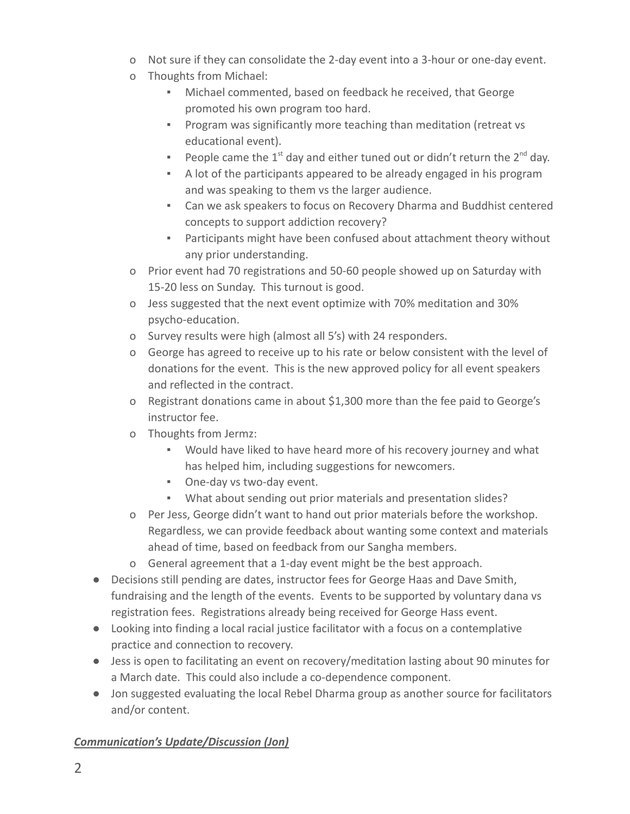- o Not sure if they can consolidate the 2-day event into a 3-hour or one-day event.
- o Thoughts from Michael:
	- Michael commented, based on feedback he received, that George promoted his own program too hard.
	- **Program was significantly more teaching than meditation (retreat vs** educational event).
	- **•** People came the 1<sup>st</sup> day and either tuned out or didn't return the  $2^{nd}$  day.
	- A lot of the participants appeared to be already engaged in his program and was speaking to them vs the larger audience.
	- Can we ask speakers to focus on Recovery Dharma and Buddhist centered concepts to support addiction recovery?
	- **•** Participants might have been confused about attachment theory without any prior understanding.
- o Prior event had 70 registrations and 50-60 people showed up on Saturday with 15-20 less on Sunday. This turnout is good.
- o Jess suggested that the next event optimize with 70% meditation and 30% psycho-education.
- o Survey results were high (almost all 5's) with 24 responders.
- o George has agreed to receive up to his rate or below consistent with the level of donations for the event. This is the new approved policy for all event speakers and reflected in the contract.
- o Registrant donations came in about \$1,300 more than the fee paid to George's instructor fee.
- o Thoughts from Jermz:
	- Would have liked to have heard more of his recovery journey and what has helped him, including suggestions for newcomers.
	- One-day vs two-day event.
	- What about sending out prior materials and presentation slides?
- o Per Jess, George didn't want to hand out prior materials before the workshop. Regardless, we can provide feedback about wanting some context and materials ahead of time, based on feedback from our Sangha members.
- o General agreement that a 1-day event might be the best approach.
- Decisions still pending are dates, instructor fees for George Haas and Dave Smith, fundraising and the length of the events. Events to be supported by voluntary dana vs registration fees. Registrations already being received for George Hass event.
- Looking into finding a local racial justice facilitator with a focus on a contemplative practice and connection to recovery.
- Jess is open to facilitating an event on recovery/meditation lasting about 90 minutes for a March date. This could also include a co-dependence component.
- Jon suggested evaluating the local Rebel Dharma group as another source for facilitators and/or content.

## *Communication's Update/Discussion (Jon)*